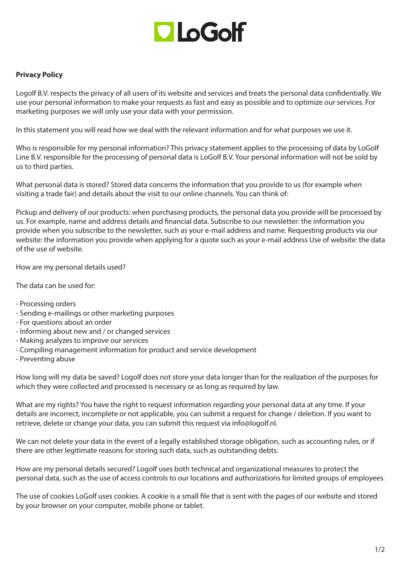

## **Privacy Policy**

Logolf B.V. respects the privacy of all users of its website and services and treats the personal data confidentially. We use your personal information to make your requests as fast and easy as possible and to optimize our services. For marketing purposes we will only use your data with your permission.

In this statement you will read how we deal with the relevant information and for what purposes we use it.

Who is responsible for my personal information? This privacy statement applies to the processing of data by LoGolf Line B.V. responsible for the processing of personal data is LoGolf B.V. Your personal information will not be sold by us to third parties.

What personal data is stored? Stored data concerns the information that you provide to us (for example when visiting a trade fair) and details about the visit to our online channels. You can think of:

Pickup and delivery of our products: when purchasing products, the personal data you provide will be processed by us. For example, name and address details and financial data. Subscribe to our newsletter: the information you provide when you subscribe to the newsletter, such as your e-mail address and name. Requesting products via our website: the information you provide when applying for a quote such as your e-mail address Use of website: the data of the use of website.

How are my personal details used?

The data can be used for:

- Processing orders
- Sending e-mailings or other marketing purposes
- For questions about an order
- Informing about new and / or changed services
- Making analyzes to improve our services
- Compiling management information for product and service development
- Preventing abuse

How long will my data be saved? Logolf does not store your data longer than for the realization of the purposes for which they were collected and processed is necessary or as long as required by law.

What are my rights? You have the right to request information regarding your personal data at any time. If your details are incorrect, incomplete or not applicable, you can submit a request for change / deletion. If you want to retrieve, delete or change your data, you can submit this request via info@logolf.nl.

We can not delete your data in the event of a legally established storage obligation, such as accounting rules, or if there are other legitimate reasons for storing such data, such as outstanding debts.

How are my personal details secured? Logolf uses both technical and organizational measures to protect the personal data, such as the use of access controls to our locations and authorizations for limited groups of employees.

The use of cookies LoGolf uses cookies. A cookie is a small file that is sent with the pages of our website and stored by your browser on your computer, mobile phone or tablet.